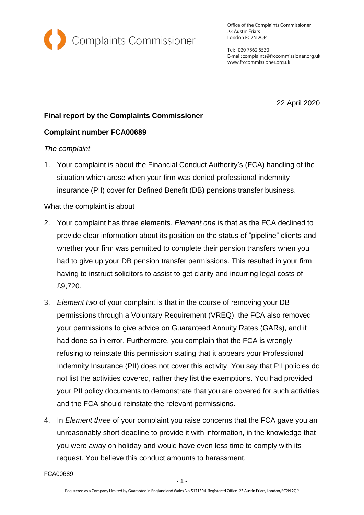

Office of the Complaints Commissioner 23 Austin Friars London EC2N 2QP

Tel: 020 7562 5530 E-mail: complaints@frccommissioner.org.uk www.frccommissioner.org.uk

22 April 2020

# **Final report by the Complaints Commissioner**

# **Complaint number FCA00689**

# *The complaint*

1. Your complaint is about the Financial Conduct Authority's (FCA) handling of the situation which arose when your firm was denied professional indemnity insurance (PII) cover for Defined Benefit (DB) pensions transfer business.

# What the complaint is about

- 2. Your complaint has three elements. *Element one* is that as the FCA declined to provide clear information about its position on the status of "pipeline" clients and whether your firm was permitted to complete their pension transfers when you had to give up your DB pension transfer permissions. This resulted in your firm having to instruct solicitors to assist to get clarity and incurring legal costs of £9,720.
- 3. *Element two* of your complaint is that in the course of removing your DB permissions through a Voluntary Requirement (VREQ), the FCA also removed your permissions to give advice on Guaranteed Annuity Rates (GARs), and it had done so in error. Furthermore, you complain that the FCA is wrongly refusing to reinstate this permission stating that it appears your Professional Indemnity Insurance (PII) does not cover this activity. You say that PII policies do not list the activities covered, rather they list the exemptions. You had provided your PII policy documents to demonstrate that you are covered for such activities and the FCA should reinstate the relevant permissions.
- 4. In *Element three* of your complaint you raise concerns that the FCA gave you an unreasonably short deadline to provide it with information, in the knowledge that you were away on holiday and would have even less time to comply with its request. You believe this conduct amounts to harassment.

FCA00689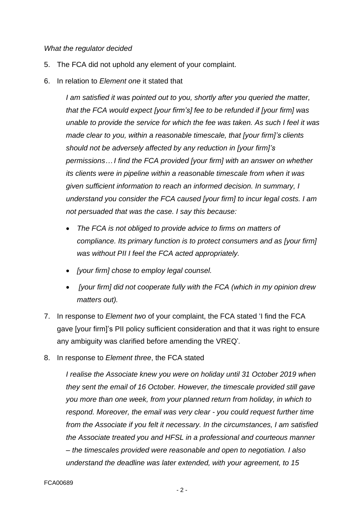#### *What the regulator decided*

- 5. The FCA did not uphold any element of your complaint.
- 6. In relation to *Element one* it stated that

*I am satisfied it was pointed out to you, shortly after you queried the matter, that the FCA would expect [your firm's] fee to be refunded if [your firm] was unable to provide the service for which the fee was taken. As such I feel it was made clear to you, within a reasonable timescale, that [your firm]'s clients should not be adversely affected by any reduction in [your firm]'s permissions… I find the FCA provided [your firm] with an answer on whether its clients were in pipeline within a reasonable timescale from when it was given sufficient information to reach an informed decision. In summary, I understand you consider the FCA caused [your firm] to incur legal costs. I am not persuaded that was the case. I say this because:*

- *The FCA is not obliged to provide advice to firms on matters of compliance. Its primary function is to protect consumers and as [your firm] was without PII I feel the FCA acted appropriately.*
- *[your firm] chose to employ legal counsel.*
- *[your firm] did not cooperate fully with the FCA (which in my opinion drew matters out).*
- 7. In response to *Element two* of your complaint, the FCA stated 'I find the FCA gave [your firm]'s PII policy sufficient consideration and that it was right to ensure any ambiguity was clarified before amending the VREQ'*.*
- 8. In response to *Element three*, the FCA stated

*I realise the Associate knew you were on holiday until 31 October 2019 when they sent the email of 16 October. However, the timescale provided still gave you more than one week, from your planned return from holiday, in which to respond. Moreover, the email was very clear - you could request further time from the Associate if you felt it necessary. In the circumstances, I am satisfied the Associate treated you and HFSL in a professional and courteous manner – the timescales provided were reasonable and open to negotiation. I also understand the deadline was later extended, with your agreement, to 15*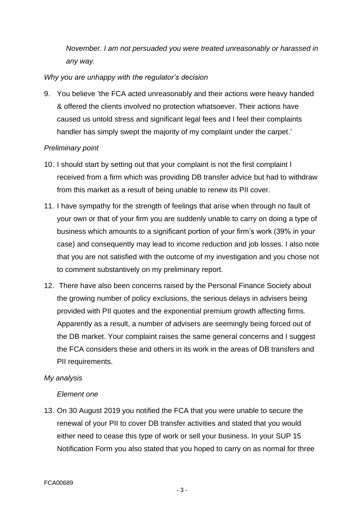*November. I am not persuaded you were treated unreasonably or harassed in any way.*

# *Why you are unhappy with the regulator's decision*

9. You believe 'the FCA acted unreasonably and their actions were heavy handed & offered the clients involved no protection whatsoever. Their actions have caused us untold stress and significant legal fees and I feel their complaints handler has simply swept the majority of my complaint under the carpet.'

# *Preliminary point*

- 10. I should start by setting out that your complaint is not the first complaint I received from a firm which was providing DB transfer advice but had to withdraw from this market as a result of being unable to renew its PII cover.
- 11. I have sympathy for the strength of feelings that arise when through no fault of your own or that of your firm you are suddenly unable to carry on doing a type of business which amounts to a significant portion of your firm's work (39% in your case) and consequently may lead to income reduction and job losses. I also note that you are not satisfied with the outcome of my investigation and you chose not to comment substantively on my preliminary report.
- 12. There have also been concerns raised by the Personal Finance Society about the growing number of policy exclusions, the serious delays in advisers being provided with PII quotes and the exponential premium growth affecting firms. Apparently as a result, a number of advisers are seemingly being forced out of the DB market. Your complaint raises the same general concerns and I suggest the FCA considers these and others in its work in the areas of DB transfers and PII requirements.

### *My analysis*

### *Element one*

13. On 30 August 2019 you notified the FCA that you were unable to secure the renewal of your PII to cover DB transfer activities and stated that you would either need to cease this type of work or sell your business. In your SUP 15 Notification Form you also stated that you hoped to carry on as normal for three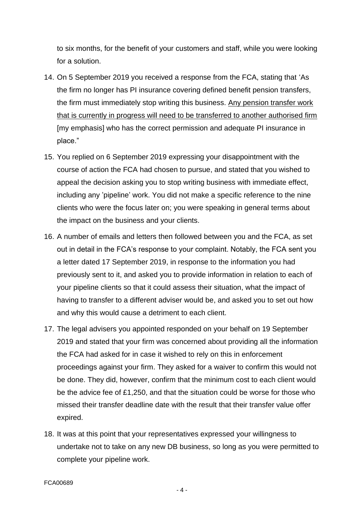to six months, for the benefit of your customers and staff, while you were looking for a solution.

- 14. On 5 September 2019 you received a response from the FCA, stating that 'As the firm no longer has PI insurance covering defined benefit pension transfers, the firm must immediately stop writing this business. Any pension transfer work that is currently in progress will need to be transferred to another authorised firm [my emphasis] who has the correct permission and adequate PI insurance in place."
- 15. You replied on 6 September 2019 expressing your disappointment with the course of action the FCA had chosen to pursue, and stated that you wished to appeal the decision asking you to stop writing business with immediate effect, including any 'pipeline' work. You did not make a specific reference to the nine clients who were the focus later on; you were speaking in general terms about the impact on the business and your clients.
- 16. A number of emails and letters then followed between you and the FCA, as set out in detail in the FCA's response to your complaint. Notably, the FCA sent you a letter dated 17 September 2019, in response to the information you had previously sent to it, and asked you to provide information in relation to each of your pipeline clients so that it could assess their situation, what the impact of having to transfer to a different adviser would be, and asked you to set out how and why this would cause a detriment to each client.
- 17. The legal advisers you appointed responded on your behalf on 19 September 2019 and stated that your firm was concerned about providing all the information the FCA had asked for in case it wished to rely on this in enforcement proceedings against your firm. They asked for a waiver to confirm this would not be done. They did, however, confirm that the minimum cost to each client would be the advice fee of £1,250, and that the situation could be worse for those who missed their transfer deadline date with the result that their transfer value offer expired.
- 18. It was at this point that your representatives expressed your willingness to undertake not to take on any new DB business, so long as you were permitted to complete your pipeline work.

- 4 -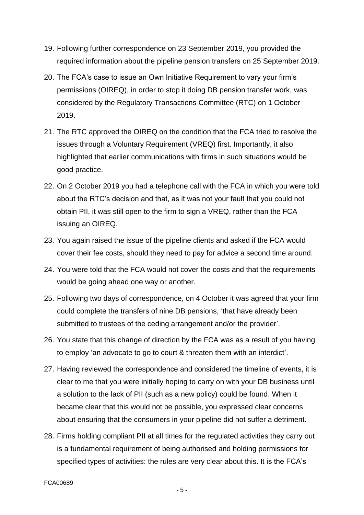- 19. Following further correspondence on 23 September 2019, you provided the required information about the pipeline pension transfers on 25 September 2019.
- 20. The FCA's case to issue an Own Initiative Requirement to vary your firm's permissions (OIREQ), in order to stop it doing DB pension transfer work, was considered by the Regulatory Transactions Committee (RTC) on 1 October 2019.
- 21. The RTC approved the OIREQ on the condition that the FCA tried to resolve the issues through a Voluntary Requirement (VREQ) first. Importantly, it also highlighted that earlier communications with firms in such situations would be good practice.
- 22. On 2 October 2019 you had a telephone call with the FCA in which you were told about the RTC's decision and that, as it was not your fault that you could not obtain PII, it was still open to the firm to sign a VREQ, rather than the FCA issuing an OIREQ.
- 23. You again raised the issue of the pipeline clients and asked if the FCA would cover their fee costs, should they need to pay for advice a second time around.
- 24. You were told that the FCA would not cover the costs and that the requirements would be going ahead one way or another.
- 25. Following two days of correspondence, on 4 October it was agreed that your firm could complete the transfers of nine DB pensions, 'that have already been submitted to trustees of the ceding arrangement and/or the provider'.
- 26. You state that this change of direction by the FCA was as a result of you having to employ 'an advocate to go to court & threaten them with an interdict'.
- 27. Having reviewed the correspondence and considered the timeline of events, it is clear to me that you were initially hoping to carry on with your DB business until a solution to the lack of PII (such as a new policy) could be found. When it became clear that this would not be possible, you expressed clear concerns about ensuring that the consumers in your pipeline did not suffer a detriment.
- 28. Firms holding compliant PII at all times for the regulated activities they carry out is a fundamental requirement of being authorised and holding permissions for specified types of activities: the rules are very clear about this. It is the FCA's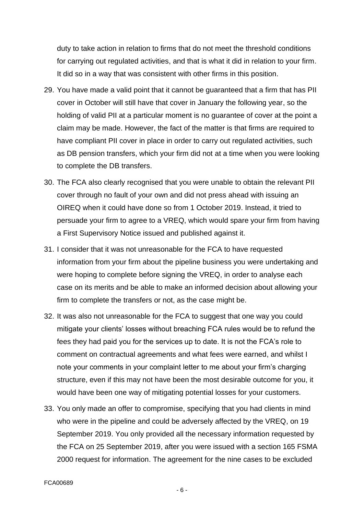duty to take action in relation to firms that do not meet the threshold conditions for carrying out regulated activities, and that is what it did in relation to your firm. It did so in a way that was consistent with other firms in this position.

- 29. You have made a valid point that it cannot be guaranteed that a firm that has PII cover in October will still have that cover in January the following year, so the holding of valid PII at a particular moment is no guarantee of cover at the point a claim may be made. However, the fact of the matter is that firms are required to have compliant PII cover in place in order to carry out regulated activities, such as DB pension transfers, which your firm did not at a time when you were looking to complete the DB transfers.
- 30. The FCA also clearly recognised that you were unable to obtain the relevant PII cover through no fault of your own and did not press ahead with issuing an OIREQ when it could have done so from 1 October 2019. Instead, it tried to persuade your firm to agree to a VREQ, which would spare your firm from having a First Supervisory Notice issued and published against it.
- 31. I consider that it was not unreasonable for the FCA to have requested information from your firm about the pipeline business you were undertaking and were hoping to complete before signing the VREQ, in order to analyse each case on its merits and be able to make an informed decision about allowing your firm to complete the transfers or not, as the case might be.
- 32. It was also not unreasonable for the FCA to suggest that one way you could mitigate your clients' losses without breaching FCA rules would be to refund the fees they had paid you for the services up to date. It is not the FCA's role to comment on contractual agreements and what fees were earned, and whilst I note your comments in your complaint letter to me about your firm's charging structure, even if this may not have been the most desirable outcome for you, it would have been one way of mitigating potential losses for your customers.
- 33. You only made an offer to compromise, specifying that you had clients in mind who were in the pipeline and could be adversely affected by the VREQ, on 19 September 2019. You only provided all the necessary information requested by the FCA on 25 September 2019, after you were issued with a section 165 FSMA 2000 request for information. The agreement for the nine cases to be excluded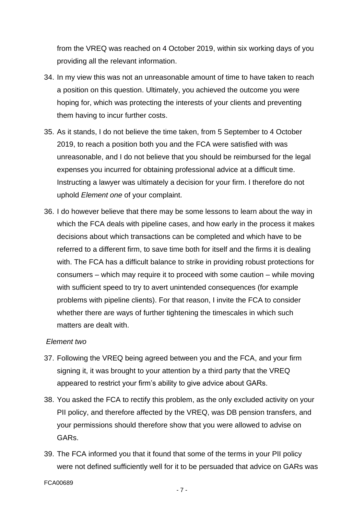from the VREQ was reached on 4 October 2019, within six working days of you providing all the relevant information.

- 34. In my view this was not an unreasonable amount of time to have taken to reach a position on this question. Ultimately, you achieved the outcome you were hoping for, which was protecting the interests of your clients and preventing them having to incur further costs.
- 35. As it stands, I do not believe the time taken, from 5 September to 4 October 2019, to reach a position both you and the FCA were satisfied with was unreasonable, and I do not believe that you should be reimbursed for the legal expenses you incurred for obtaining professional advice at a difficult time. Instructing a lawyer was ultimately a decision for your firm. I therefore do not uphold *Element one* of your complaint.
- 36. I do however believe that there may be some lessons to learn about the way in which the FCA deals with pipeline cases, and how early in the process it makes decisions about which transactions can be completed and which have to be referred to a different firm, to save time both for itself and the firms it is dealing with. The FCA has a difficult balance to strike in providing robust protections for consumers – which may require it to proceed with some caution – while moving with sufficient speed to try to avert unintended consequences (for example problems with pipeline clients). For that reason, I invite the FCA to consider whether there are ways of further tightening the timescales in which such matters are dealt with.

### *Element two*

- 37. Following the VREQ being agreed between you and the FCA, and your firm signing it, it was brought to your attention by a third party that the VREQ appeared to restrict your firm's ability to give advice about GARs.
- 38. You asked the FCA to rectify this problem, as the only excluded activity on your PII policy, and therefore affected by the VREQ, was DB pension transfers, and your permissions should therefore show that you were allowed to advise on GARs.
- 39. The FCA informed you that it found that some of the terms in your PII policy were not defined sufficiently well for it to be persuaded that advice on GARs was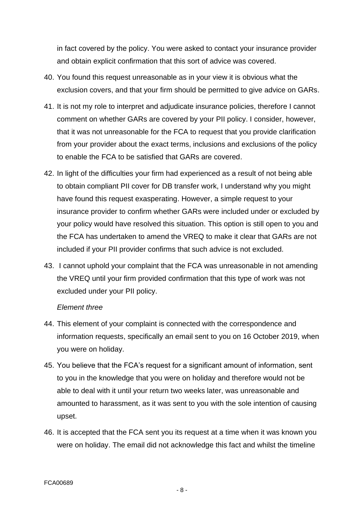in fact covered by the policy. You were asked to contact your insurance provider and obtain explicit confirmation that this sort of advice was covered.

- 40. You found this request unreasonable as in your view it is obvious what the exclusion covers, and that your firm should be permitted to give advice on GARs.
- 41. It is not my role to interpret and adjudicate insurance policies, therefore I cannot comment on whether GARs are covered by your PII policy. I consider, however, that it was not unreasonable for the FCA to request that you provide clarification from your provider about the exact terms, inclusions and exclusions of the policy to enable the FCA to be satisfied that GARs are covered.
- 42. In light of the difficulties your firm had experienced as a result of not being able to obtain compliant PII cover for DB transfer work, I understand why you might have found this request exasperating. However, a simple request to your insurance provider to confirm whether GARs were included under or excluded by your policy would have resolved this situation. This option is still open to you and the FCA has undertaken to amend the VREQ to make it clear that GARs are not included if your PII provider confirms that such advice is not excluded.
- 43. I cannot uphold your complaint that the FCA was unreasonable in not amending the VREQ until your firm provided confirmation that this type of work was not excluded under your PII policy.

#### *Element three*

- 44. This element of your complaint is connected with the correspondence and information requests, specifically an email sent to you on 16 October 2019, when you were on holiday.
- 45. You believe that the FCA's request for a significant amount of information, sent to you in the knowledge that you were on holiday and therefore would not be able to deal with it until your return two weeks later, was unreasonable and amounted to harassment, as it was sent to you with the sole intention of causing upset.
- 46. It is accepted that the FCA sent you its request at a time when it was known you were on holiday. The email did not acknowledge this fact and whilst the timeline